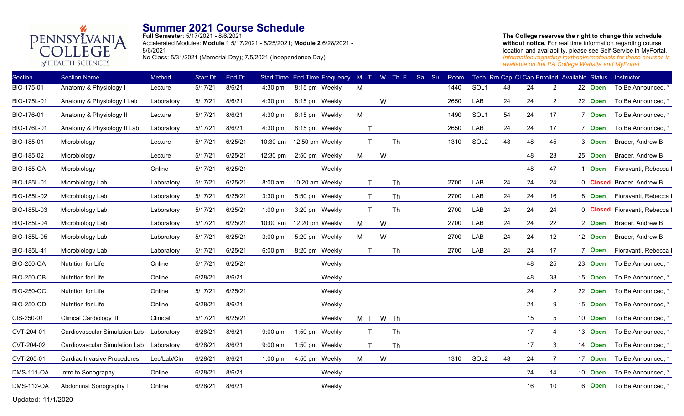

**Full Semester**: 5/17/2021 - 8/6/2021 Accelerated Modules: **Module 1** 5/17/2021 - 6/25/2021; **Module 2** 6/28/2021 - 8/6/2021 No Class: 5/31/2021 (Memorial Day); 7/5/2021 (Independence Day)

#### **The College reserves the right to change this schedule**  without notice. For real time information regarding course location and availability, please see Self-Service in MyPortal. *Information regarding textbooks/materials for these courses is available on the PA College Website and MyPortal.*

| 22 Open<br>22 Open<br>7 Open<br>7 Open<br>3 Open | To Be Announced, *<br>To Be Announced, *<br>To Be Announced, *<br>To Be Announced, * |
|--------------------------------------------------|--------------------------------------------------------------------------------------|
|                                                  |                                                                                      |
|                                                  |                                                                                      |
|                                                  |                                                                                      |
|                                                  |                                                                                      |
|                                                  | Brader, Andrew B                                                                     |
| 25 Open                                          | Brader, Andrew B                                                                     |
| <b>Open</b><br>$\mathbf{1}$                      | Fioravanti, Rebecca I                                                                |
|                                                  | 0 Closed Brader, Andrew B                                                            |
| 8 Open                                           | Fioravanti, Rebecca I                                                                |
|                                                  | 0 Closed Fioravanti, Rebecca I                                                       |
| 2 Open                                           | Brader, Andrew B                                                                     |
| 12 Open                                          | Brader, Andrew B                                                                     |
| 7 Open                                           | Fioravanti, Rebecca I                                                                |
| 23 Open                                          | To Be Announced, *                                                                   |
| 15 Open                                          | To Be Announced, *                                                                   |
| 22 Open                                          | To Be Announced, *                                                                   |
| 15 Open                                          | To Be Announced, *                                                                   |
| 10 Open                                          | To Be Announced, *                                                                   |
| 13 Open                                          | To Be Announced, *                                                                   |
| 14 Open                                          | To Be Announced, *                                                                   |
| 17 Open                                          | To Be Announced, *                                                                   |
| 10 Open                                          | To Be Announced, *                                                                   |
|                                                  | To Be Announced, *                                                                   |
|                                                  | 6 Open                                                                               |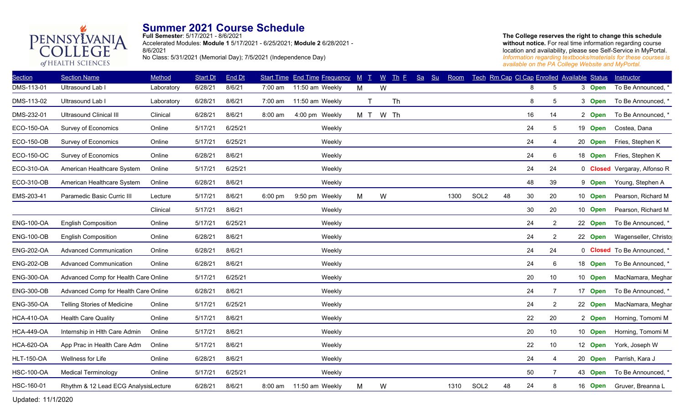

**Full Semester**: 5/17/2021 - 8/6/2021 Accelerated Modules: **Module 1** 5/17/2021 - 6/25/2021; **Module 2** 6/28/2021 - 8/6/2021 No Class: 5/31/2021 (Memorial Day); 7/5/2021 (Independence Day)

**The College reserves the right to change this schedule**  without notice. For real time information regarding course location and availability, please see Self-Service in MyPortal. *Information regarding textbooks/materials for these courses is available on the PA College Website and MyPortal.*

| <b>Section</b>    | <b>Section Name</b>                  | Method     | Start Dt | End Dt  |           | <b>Start Time End Time Frequency</b> | $M$ $T$ | $\underline{W}$ | $\mathbf{Th} \mathbf{F}$ | Sa | Su<br>Room |                  |    | Tech Rm Cap CI Cap Enrolled Available Status |                |         |             | Instructor                   |
|-------------------|--------------------------------------|------------|----------|---------|-----------|--------------------------------------|---------|-----------------|--------------------------|----|------------|------------------|----|----------------------------------------------|----------------|---------|-------------|------------------------------|
| DMS-113-01        | Ultrasound Lab I                     | Laboratory | 6/28/21  | 8/6/21  | 7:00 am   | 11:50 am Weekly                      | M       | W               |                          |    |            |                  |    | 8                                            | 5              | 3 Open  |             | To Be Announced, *           |
| DMS-113-02        | Ultrasound Lab I                     | Laboratory | 6/28/21  | 8/6/21  | 7:00 am   | 11:50 am Weekly                      | T       |                 | <b>Th</b>                |    |            |                  |    | 8                                            | 5              | 3 Open  |             | To Be Announced, *           |
| DMS-232-01        | <b>Ultrasound Clinical III</b>       | Clinical   | 6/28/21  | 8/6/21  | 8:00 am   | 4:00 pm Weekly                       | M T     |                 | W Th                     |    |            |                  |    | 16                                           | 14             | 2 Open  |             | To Be Announced, *           |
| ECO-150-OA        | <b>Survey of Economics</b>           | Online     | 5/17/21  | 6/25/21 |           | Weekly                               |         |                 |                          |    |            |                  |    | 24                                           | 5              | 19 Open |             | Costea, Dana                 |
| <b>ECO-150-OB</b> | Survey of Economics                  | Online     | 5/17/21  | 6/25/21 |           | Weekly                               |         |                 |                          |    |            |                  |    | 24                                           | 4              | 20      | <b>Open</b> | Fries, Stephen K             |
| ECO-150-OC        | <b>Survey of Economics</b>           | Online     | 6/28/21  | 8/6/21  |           | Weekly                               |         |                 |                          |    |            |                  |    | 24                                           | 6              | 18 Open |             | Fries, Stephen K             |
| ECO-310-OA        | American Healthcare System           | Online     | 5/17/21  | 6/25/21 |           | Weekly                               |         |                 |                          |    |            |                  |    | 24                                           | 24             |         |             | 0 Closed Vergaray, Alfonso R |
| ECO-310-OB        | American Healthcare System           | Online     | 6/28/21  | 8/6/21  |           | Weekly                               |         |                 |                          |    |            |                  |    | 48                                           | 39             | 9 Open  |             | Young, Stephen A             |
| EMS-203-41        | Paramedic Basic Curric III           | Lecture    | 5/17/21  | 8/6/21  | $6:00$ pm | $9:50$ pm<br>Weekly                  | M       | W               |                          |    | 1300       | SOL <sub>2</sub> | 48 | 30                                           | 20             | 10 Open |             | Pearson, Richard M           |
|                   |                                      | Clinical   | 5/17/21  | 8/6/21  |           | Weekly                               |         |                 |                          |    |            |                  |    | 30                                           | 20             | 10 Open |             | Pearson, Richard M           |
| <b>ENG-100-OA</b> | <b>English Composition</b>           | Online     | 5/17/21  | 6/25/21 |           | Weekly                               |         |                 |                          |    |            |                  |    | 24                                           | $\overline{a}$ | 22 Open |             | To Be Announced, *           |
| <b>ENG-100-OB</b> | <b>English Composition</b>           | Online     | 6/28/21  | 8/6/21  |           | Weekly                               |         |                 |                          |    |            |                  |    | 24                                           | $\overline{2}$ | 22 Open |             | Wagenseller, Christo         |
| <b>ENG-202-OA</b> | <b>Advanced Communication</b>        | Online     | 6/28/21  | 8/6/21  |           | Weekly                               |         |                 |                          |    |            |                  |    | 24                                           | 24             |         |             | 0 Closed To Be Announced, *  |
| <b>ENG-202-OB</b> | <b>Advanced Communication</b>        | Online     | 6/28/21  | 8/6/21  |           | Weekly                               |         |                 |                          |    |            |                  |    | 24                                           | 6              | 18 Open |             | To Be Announced, *           |
| <b>ENG-300-OA</b> | Advanced Comp for Health Care Online |            | 5/17/21  | 6/25/21 |           | Weekly                               |         |                 |                          |    |            |                  |    | 20                                           | 10             | 10 Open |             | MacNamara, Meghar            |
| <b>ENG-300-OB</b> | Advanced Comp for Health Care Online |            | 6/28/21  | 8/6/21  |           | Weekly                               |         |                 |                          |    |            |                  |    | 24                                           | $\overline{7}$ | 17 Open |             | To Be Announced, *           |
| <b>ENG-350-OA</b> | Telling Stories of Medicine          | Online     | 5/17/21  | 6/25/21 |           | Weekly                               |         |                 |                          |    |            |                  |    | 24                                           | $\overline{a}$ | 22 Open |             | MacNamara, Meghar            |
| <b>HCA-410-OA</b> | <b>Health Care Quality</b>           | Online     | 5/17/21  | 8/6/21  |           | Weekly                               |         |                 |                          |    |            |                  |    | 22                                           | 20             | 2 Open  |             | Horning, Tomomi M            |
| <b>HCA-449-OA</b> | Internship in Hlth Care Admin        | Online     | 5/17/21  | 8/6/21  |           | Weekly                               |         |                 |                          |    |            |                  |    | 20                                           | 10             | 10 Open |             | Horning, Tomomi M            |
| <b>HCA-620-OA</b> | App Prac in Health Care Adm          | Online     | 5/17/21  | 8/6/21  |           | Weekly                               |         |                 |                          |    |            |                  |    | 22                                           | 10             | 12 Open |             | York, Joseph W               |
| <b>HLT-150-OA</b> | Wellness for Life                    | Online     | 6/28/21  | 8/6/21  |           | Weekly                               |         |                 |                          |    |            |                  |    | 24                                           | 4              | 20 Open |             | Parrish, Kara J              |
| <b>HSC-100-OA</b> | <b>Medical Terminology</b>           | Online     | 5/17/21  | 6/25/21 |           | Weekly                               |         |                 |                          |    |            |                  |    | 50                                           | 7              | 43 Open |             | To Be Announced, *           |
| HSC-160-01        | Rhythm & 12 Lead ECG AnalysisLecture |            | 6/28/21  | 8/6/21  | 8:00 am   | 11:50 am Weekly                      | M       | W               |                          |    | 1310       | SOL <sub>2</sub> | 48 | 24                                           | 8              |         |             | 16 Open Gruver, Breanna L    |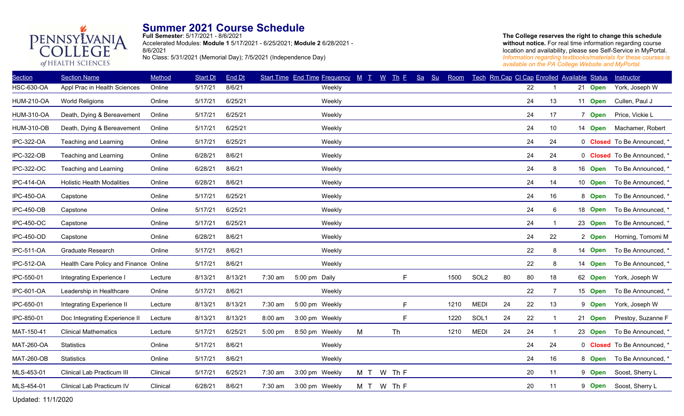

**Full Semester**: 5/17/2021 - 8/6/2021 Accelerated Modules: **Module 1** 5/17/2021 - 6/25/2021; **Module 2** 6/28/2021 - 8/6/2021 No Class: 5/31/2021 (Memorial Day); 7/5/2021 (Independence Day)

**The College reserves the right to change this schedule**  without notice. For real time information regarding course location and availability, please see Self-Service in MyPortal. *Information regarding textbooks/materials for these courses is available on the PA College Website and MyPortal.*

| <b>Section</b>    | <b>Section Name</b>                   | Method   | <b>Start Dt</b> | End Dt  |           | Start Time End Time Frequency M T |     | $W$ Th E   | Sa<br>S <sub>u</sub> | Room |                  |    | Tech Rm Cap CI Cap Enrolled Available Status |    |         | Instructor                         |
|-------------------|---------------------------------------|----------|-----------------|---------|-----------|-----------------------------------|-----|------------|----------------------|------|------------------|----|----------------------------------------------|----|---------|------------------------------------|
| <b>HSC-630-OA</b> | Appl Prac in Health Sciences          | Online   | 5/17/21         | 8/6/21  |           | Weekly                            |     |            |                      |      |                  |    | 22                                           |    | 21 Open | York, Joseph W                     |
| <b>HUM-210-OA</b> | <b>World Religions</b>                | Online   | 5/17/21         | 6/25/21 |           | Weekly                            |     |            |                      |      |                  |    | 24                                           | 13 | 11 Open | Cullen, Paul J                     |
| <b>HUM-310-OA</b> | Death, Dying & Bereavement            | Online   | 5/17/21         | 6/25/21 |           | Weekly                            |     |            |                      |      |                  |    | 24                                           | 17 | 7 Open  | Price, Vickie L                    |
| <b>HUM-310-OB</b> | Death, Dying & Bereavement            | Online   | 5/17/21         | 6/25/21 |           | Weekly                            |     |            |                      |      |                  |    | 24                                           | 10 | 14 Open | Machamer, Robert                   |
| <b>IPC-322-OA</b> | Teaching and Learning                 | Online   | 5/17/21         | 6/25/21 |           | Weekly                            |     |            |                      |      |                  |    | 24                                           | 24 |         | 0 Closed To Be Announced, '        |
| <b>IPC-322-OB</b> | Teaching and Learning                 | Online   | 6/28/21         | 8/6/21  |           | Weekly                            |     |            |                      |      |                  |    | 24                                           | 24 |         | 0 <b>Closed</b> To Be Announced, * |
| IPC-322-OC        | Teaching and Learning                 | Online   | 6/28/21         | 8/6/21  |           | Weekly                            |     |            |                      |      |                  |    | 24                                           | 8  | 16 Open | To Be Announced, *                 |
| <b>IPC-414-OA</b> | <b>Holistic Health Modalities</b>     | Online   | 6/28/21         | 8/6/21  |           | Weekly                            |     |            |                      |      |                  |    | 24                                           | 14 | 10 Open | To Be Announced, *                 |
| <b>IPC-450-OA</b> | Capstone                              | Online   | 5/17/21         | 6/25/21 |           | Weekly                            |     |            |                      |      |                  |    | 24                                           | 16 | 8 Open  | To Be Announced, *                 |
| <b>IPC-450-OB</b> | Capstone                              | Online   | 5/17/21         | 6/25/21 |           | Weekly                            |     |            |                      |      |                  |    | 24                                           | 6  | 18 Open | To Be Announced,                   |
| <b>IPC-450-OC</b> | Capstone                              | Online   | 5/17/21         | 6/25/21 |           | Weekly                            |     |            |                      |      |                  |    | 24                                           | -1 | 23 Open | To Be Announced, *                 |
| <b>IPC-450-OD</b> | Capstone                              | Online   | 6/28/21         | 8/6/21  |           | Weekly                            |     |            |                      |      |                  |    | 24                                           | 22 | 2 Open  | Horning, Tomomi M                  |
| <b>IPC-511-OA</b> | Graduate Research                     | Online   | 5/17/21         | 8/6/21  |           | Weekly                            |     |            |                      |      |                  |    | 22                                           | 8  | 14 Open | To Be Announced, *                 |
| <b>IPC-512-OA</b> | Health Care Policy and Finance Online |          | 5/17/21         | 8/6/21  |           | Weekly                            |     |            |                      |      |                  |    | 22                                           | 8  | 14 Open | To Be Announced, *                 |
| IPC-550-01        | Integrating Experience I              | Lecture  | 8/13/21         | 8/13/21 | 7:30 am   | 5:00 pm Daily                     |     | F          |                      | 1500 | SOL <sub>2</sub> | 80 | 80                                           | 18 | 62 Open | York, Joseph W                     |
| <b>IPC-601-OA</b> | Leadership in Healthcare              | Online   | 5/17/21         | 8/6/21  |           | Weekly                            |     |            |                      |      |                  |    | 22                                           | 7  | 15 Open | To Be Announced, *                 |
| IPC-650-01        | Integrating Experience II             | Lecture  | 8/13/21         | 8/13/21 | 7:30 am   | 5:00 pm Weekly                    |     | F          |                      | 1210 | <b>MEDI</b>      | 24 | 22                                           | 13 | 9 Open  | York, Joseph W                     |
| IPC-850-01        | Doc Integrating Experience II         | Lecture  | 8/13/21         | 8/13/21 | 8:00 am   | 3:00 pm Weekly                    |     | F          |                      | 1220 | SOL1             | 24 | 22                                           | 1  | 21 Open | Prestoy, Suzanne F                 |
| MAT-150-41        | <b>Clinical Mathematics</b>           | Lecture  | 5/17/21         | 6/25/21 | $5:00$ pm | 8:50 pm Weekly                    | M   | Th         |                      | 1210 | <b>MEDI</b>      | 24 | 24                                           | -1 | 23 Open | To Be Announced, *                 |
| <b>MAT-260-OA</b> | Statistics                            | Online   | 5/17/21         | 8/6/21  |           | Weekly                            |     |            |                      |      |                  |    | 24                                           | 24 |         | 0 Closed To Be Announced, *        |
| <b>MAT-260-OB</b> | <b>Statistics</b>                     | Online   | 5/17/21         | 8/6/21  |           | Weekly                            |     |            |                      |      |                  |    | 24                                           | 16 | 8 Open  | To Be Announced, *                 |
| MLS-453-01        | Clinical Lab Practicum III            | Clinical | 5/17/21         | 6/25/21 | 7:30 am   | 3:00 pm Weekly                    | M T | W Th F     |                      |      |                  |    | 20                                           | 11 | 9 Open  | Soost, Sherry L                    |
| MLS-454-01        | Clinical Lab Practicum IV             | Clinical | 6/28/21         | 8/6/21  | 7:30 am   | 3:00 pm Weekly                    |     | M T W Th F |                      |      |                  |    | 20                                           | 11 | 9 Open  | Soost, Sherry L                    |
|                   |                                       |          |                 |         |           |                                   |     |            |                      |      |                  |    |                                              |    |         |                                    |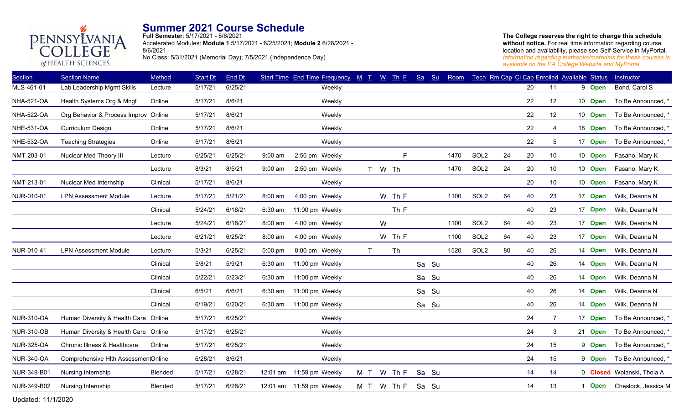

**Full Semester**: 5/17/2021 - 8/6/2021 Accelerated Modules: **Module 1** 5/17/2021 - 6/25/2021; **Module 2** 6/28/2021 - 8/6/2021 No Class: 5/31/2021 (Memorial Day); 7/5/2021 (Independence Day)

**The College reserves the right to change this schedule**  without notice. For real time information regarding course location and availability, please see Self-Service in MyPortal. *Information regarding textbooks/materials for these courses is available on the PA College Website and MyPortal.*

| <b>Section</b>    | <b>Section Name</b>                  | Method   | <b>Start Dt</b> | End Dt  |           |                          | Start Time End Time Frequency M T |              |   | $W$ Th E | $S_{a}$ | Su    | Room |                  |    | Tech Rm Cap CI Cap Enrolled Available Status |                |         | Instructor                 |
|-------------------|--------------------------------------|----------|-----------------|---------|-----------|--------------------------|-----------------------------------|--------------|---|----------|---------|-------|------|------------------|----|----------------------------------------------|----------------|---------|----------------------------|
| MLS-461-01        | Lab Leadership Mgmt Skills           | Lecture  | 5/17/21         | 6/25/21 |           |                          | Weekly                            |              |   |          |         |       |      |                  |    | 20                                           | 11             | 9 Open  | Bond, Carol S              |
| <b>NHA-521-OA</b> | Health Systems Org & Mngt            | Online   | 5/17/21         | 8/6/21  |           |                          | Weekly                            |              |   |          |         |       |      |                  |    | 22                                           | 12             | 10 Open | To Be Announced, *         |
| <b>NHA-522-OA</b> | Org Behavior & Process Improv Online |          | 5/17/21         | 8/6/21  |           |                          | Weekly                            |              |   |          |         |       |      |                  |    | 22                                           | 12             | 10 Open | To Be Announced, *         |
| <b>NHE-531-OA</b> | Curriculum Design                    | Online   | 5/17/21         | 8/6/21  |           |                          | Weekly                            |              |   |          |         |       |      |                  |    | 22                                           | $\overline{4}$ | 18 Open | To Be Announced, *         |
| <b>NHE-532-OA</b> | <b>Teaching Strategies</b>           | Online   | 5/17/21         | 8/6/21  |           |                          | Weekly                            |              |   |          |         |       |      |                  |    | 22                                           | 5              | 17 Open | To Be Announced, *         |
| NMT-203-01        | Nuclear Med Theory III               | Lecture  | 6/25/21         | 6/25/21 | 9:00 am   | 2:50 pm Weekly           |                                   |              |   | F        |         |       | 1470 | SOL <sub>2</sub> | 24 | 20                                           | 10             | 10 Open | Fasano, Mary K             |
|                   |                                      | Lecture  | 8/3/21          | 8/5/21  | $9:00$ am | 2:50 pm Weekly           |                                   |              |   | T W Th   |         |       | 1470 | SOL <sub>2</sub> | 24 | 20                                           | 10             | 10 Open | Fasano, Mary K             |
| NMT-213-01        | Nuclear Med Internship               | Clinical | 5/17/21         | 8/6/21  |           |                          | Weekly                            |              |   |          |         |       |      |                  |    | 20                                           | 10             | 10 Open | Fasano, Mary K             |
| NUR-010-01        | <b>LPN Assessment Module</b>         | Lecture  | 5/17/21         | 5/21/21 | 8:00 am   | 4:00 pm Weekly           |                                   |              |   | W Th F   |         |       | 1100 | SOL <sub>2</sub> | 64 | 40                                           | 23             | 17 Open | Wilk, Deanna N             |
|                   |                                      | Clinical | 5/24/21         | 6/18/21 | 6:30 am   | 11:00 pm Weekly          |                                   |              |   | Th F     |         |       |      |                  |    | 40                                           | 23             | 17 Open | Wilk, Deanna N             |
|                   |                                      | Lecture  | 5/24/21         | 6/18/21 | 8:00 am   | 4:00 pm Weekly           |                                   |              | W |          |         |       | 1100 | SOL <sub>2</sub> | 64 | 40                                           | 23             | 17 Open | Wilk, Deanna N             |
|                   |                                      | Lecture  | 6/21/21         | 6/25/21 | 8:00 am   | 4:00 pm Weekly           |                                   |              |   | W Th F   |         |       | 1100 | SOL <sub>2</sub> | 64 | 40                                           | 23             | 17 Open | Wilk, Deanna N             |
| NUR-010-41        | <b>LPN Assessment Module</b>         | Lecture  | 5/3/21          | 6/25/21 | 5:00 pm   | 8:00 pm Weekly           |                                   | $\mathsf{T}$ |   | Th       |         |       | 1520 | SOL <sub>2</sub> | 80 | 40                                           | 26             | 14 Open | Wilk, Deanna N             |
|                   |                                      | Clinical | 5/8/21          | 5/9/21  | 6:30 am   | 11:00 pm Weekly          |                                   |              |   |          |         | Sa Su |      |                  |    | 40                                           | 26             | 14 Open | Wilk, Deanna N             |
|                   |                                      | Clinical | 5/22/21         | 5/23/21 | 6:30 am   | 11:00 pm Weekly          |                                   |              |   |          |         | Sa Su |      |                  |    | 40                                           | 26             | 14 Open | Wilk, Deanna N             |
|                   |                                      | Clinical | 6/5/21          | 6/6/21  | 6:30 am   | 11:00 pm Weekly          |                                   |              |   |          |         | Sa Su |      |                  |    | 40                                           | 26             | 14 Open | Wilk, Deanna N             |
|                   |                                      | Clinical | 6/19/21         | 6/20/21 | 6:30 am   | 11:00 pm Weekly          |                                   |              |   |          |         | Sa Su |      |                  |    | 40                                           | 26             | 14 Open | Wilk, Deanna N             |
| <b>NUR-310-OA</b> | Human Diversity & Health Care Online |          | 5/17/21         | 6/25/21 |           |                          | Weekly                            |              |   |          |         |       |      |                  |    | 24                                           | $\overline{7}$ | 17 Open | To Be Announced, *         |
| <b>NUR-310-OB</b> | Human Diversity & Health Care Online |          | 5/17/21         | 6/25/21 |           |                          | Weekly                            |              |   |          |         |       |      |                  |    | 24                                           | 3              | 21 Open | To Be Announced, *         |
| <b>NUR-325-OA</b> | Chronic Illness & Healthcare         | Online   | 5/17/21         | 6/25/21 |           |                          | Weekly                            |              |   |          |         |       |      |                  |    | 24                                           | 15             | 9 Open  | To Be Announced, *         |
| <b>NUR-340-OA</b> | Comprehensive Hlth AssessmentOnline  |          | 6/28/21         | 8/6/21  |           |                          | Weekly                            |              |   |          |         |       |      |                  |    | 24                                           | 15             | 9 Open  | To Be Announced, *         |
| NUR-349-B01       | Nursing Internship                   | Blended  | 5/17/21         | 6/28/21 |           | 12:01 am 11:59 pm Weekly |                                   | M T          |   | W Th F   |         | Sa Su |      |                  |    | 14                                           | 14             |         | 0 Closed Wolanski, Thola A |
| NUR-349-B02       | Nursing Internship                   | Blended  | 5/17/21         | 6/28/21 |           | 12:01 am 11:59 pm Weekly |                                   | M T          |   | W Th F   |         | Sa Su |      |                  |    | 14                                           | 13             | 1 Open  | Cheslock, Jessica M        |
|                   |                                      |          |                 |         |           |                          |                                   |              |   |          |         |       |      |                  |    |                                              |                |         |                            |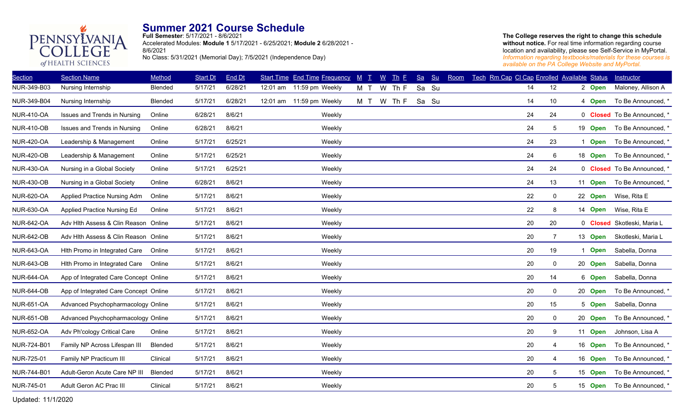

**Full Semester**: 5/17/2021 - 8/6/2021 Accelerated Modules: **Module 1** 5/17/2021 - 6/25/2021; **Module 2** 6/28/2021 - 8/6/2021 No Class: 5/31/2021 (Memorial Day); 7/5/2021 (Independence Day)

#### **The College reserves the right to change this schedule**  without notice. For real time information regarding course location and availability, please see Self-Service in MyPortal. *Information regarding textbooks/materials for these courses is available on the PA College Website and MyPortal.*

| <b>Section</b>    | <b>Section Name</b>                   | Method   | <b>Start Dt</b> | End Dt  | <b>Start Time End Time Frequency</b> | $M$ $T$ |        | $\underline{W}$ | $\mathbf{I}$ <sub><math>\mathbf{h}</math></sub> $\mathbf{E}$ | Sa | Su    | Room | Tech Rm Cap CI Cap Enrolled Available Status |    |                |         | Instructor                  |
|-------------------|---------------------------------------|----------|-----------------|---------|--------------------------------------|---------|--------|-----------------|--------------------------------------------------------------|----|-------|------|----------------------------------------------|----|----------------|---------|-----------------------------|
| NUR-349-B03       | Nursing Internship                    | Blended  | 5/17/21         | 6/28/21 | 12:01 am 11:59 pm Weekly             | M       | $\top$ | W               | Th F                                                         |    | Sa Su |      |                                              | 14 | 12             | 2 Open  | Maloney, Allison A          |
| NUR-349-B04       | Nursing Internship                    | Blended  | 5/17/21         | 6/28/21 | 12:01 am 11:59 pm Weekly             | M T     |        | W               | Th F                                                         |    | Sa Su |      |                                              | 14 | 10             | 4 Open  | To Be Announced, *          |
| <b>NUR-410-OA</b> | Issues and Trends in Nursing          | Online   | 6/28/21         | 8/6/21  | Weekly                               |         |        |                 |                                                              |    |       |      |                                              | 24 | 24             |         | 0 Closed To Be Announced, * |
| <b>NUR-410-OB</b> | Issues and Trends in Nursing          | Online   | 6/28/21         | 8/6/21  | Weekly                               |         |        |                 |                                                              |    |       |      |                                              | 24 | 5              | 19 Open | To Be Announced, *          |
| <b>NUR-420-OA</b> | Leadership & Management               | Online   | 5/17/21         | 6/25/21 | Weekly                               |         |        |                 |                                                              |    |       |      |                                              | 24 | 23             | 1 Open  | To Be Announced,            |
| <b>NUR-420-OB</b> | Leadership & Management               | Online   | 5/17/21         | 6/25/21 | Weekly                               |         |        |                 |                                                              |    |       |      |                                              | 24 | 6              | 18 Open | To Be Announced, *          |
| <b>NUR-430-OA</b> | Nursing in a Global Society           | Online   | 5/17/21         | 6/25/21 | Weekly                               |         |        |                 |                                                              |    |       |      |                                              | 24 | 24             |         | 0 Closed To Be Announced, * |
| <b>NUR-430-OB</b> | Nursing in a Global Society           | Online   | 6/28/21         | 8/6/21  | Weekly                               |         |        |                 |                                                              |    |       |      |                                              | 24 | 13             | 11 Open | To Be Announced, *          |
| <b>NUR-620-OA</b> | Applied Practice Nursing Adm          | Online   | 5/17/21         | 8/6/21  | Weekly                               |         |        |                 |                                                              |    |       |      |                                              | 22 | 0              | 22 Open | Wise, Rita E                |
| <b>NUR-630-OA</b> | Applied Practice Nursing Ed           | Online   | 5/17/21         | 8/6/21  | Weekly                               |         |        |                 |                                                              |    |       |      |                                              | 22 | 8              | 14 Open | Wise, Rita E                |
| <b>NUR-642-OA</b> | Adv Hlth Assess & Clin Reason Online  |          | 5/17/21         | 8/6/21  | Weekly                               |         |        |                 |                                                              |    |       |      |                                              | 20 | 20             |         | 0 Closed Skotleski, Maria L |
| <b>NUR-642-OB</b> | Adv Hlth Assess & Clin Reason Online  |          | 5/17/21         | 8/6/21  | Weekly                               |         |        |                 |                                                              |    |       |      |                                              | 20 | $\overline{7}$ | 13 Open | Skotleski, Maria L          |
| <b>NUR-643-OA</b> | Hith Promo in Integrated Care         | Online   | 5/17/21         | 8/6/21  | Weekly                               |         |        |                 |                                                              |    |       |      |                                              | 20 | 19             | 1 Open  | Sabella, Donna              |
| <b>NUR-643-OB</b> | Hith Promo in Integrated Care         | Online   | 5/17/21         | 8/6/21  | Weekly                               |         |        |                 |                                                              |    |       |      |                                              | 20 | $\mathsf 0$    | 20 Open | Sabella, Donna              |
| <b>NUR-644-OA</b> | App of Integrated Care Concept Online |          | 5/17/21         | 8/6/21  | Weekly                               |         |        |                 |                                                              |    |       |      |                                              | 20 | 14             | 6 Open  | Sabella, Donna              |
| <b>NUR-644-OB</b> | App of Integrated Care Concept Online |          | 5/17/21         | 8/6/21  | Weekly                               |         |        |                 |                                                              |    |       |      |                                              | 20 | 0              | 20 Open | To Be Announced, *          |
| <b>NUR-651-OA</b> | Advanced Psychopharmacology Online    |          | 5/17/21         | 8/6/21  | Weekly                               |         |        |                 |                                                              |    |       |      |                                              | 20 | 15             | 5 Open  | Sabella, Donna              |
| <b>NUR-651-OB</b> | Advanced Psychopharmacology Online    |          | 5/17/21         | 8/6/21  | Weekly                               |         |        |                 |                                                              |    |       |      |                                              | 20 | $\mathbf 0$    | 20 Open | To Be Announced, *          |
| <b>NUR-652-OA</b> | Adv Ph'cology Critical Care           | Online   | 5/17/21         | 8/6/21  | Weekly                               |         |        |                 |                                                              |    |       |      |                                              | 20 | 9              | 11 Open | Johnson, Lisa A             |
| NUR-724-B01       | Family NP Across Lifespan III         | Blended  | 5/17/21         | 8/6/21  | Weekly                               |         |        |                 |                                                              |    |       |      |                                              | 20 | 4              | 16 Open | To Be Announced, *          |
| NUR-725-01        | Family NP Practicum III               | Clinical | 5/17/21         | 8/6/21  | Weekly                               |         |        |                 |                                                              |    |       |      |                                              | 20 | $\overline{4}$ | 16 Open | To Be Announced, *          |
| NUR-744-B01       | Adult-Geron Acute Care NP III         | Blended  | 5/17/21         | 8/6/21  | Weekly                               |         |        |                 |                                                              |    |       |      |                                              | 20 | 5              | 15 Open | To Be Announced,            |
| NUR-745-01        | Adult Geron AC Prac III               | Clinical | 5/17/21         | 8/6/21  | Weekly                               |         |        |                 |                                                              |    |       |      |                                              | 20 | 5              | 15 Open | To Be Announced,            |
|                   |                                       |          |                 |         |                                      |         |        |                 |                                                              |    |       |      |                                              |    |                |         |                             |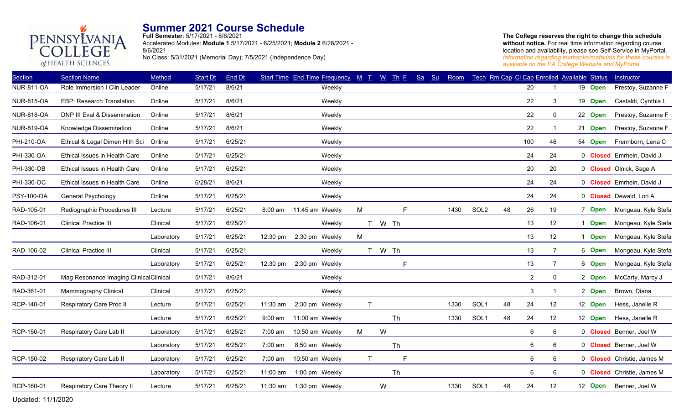

**Full Semester**: 5/17/2021 - 8/6/2021 Accelerated Modules: **Module 1** 5/17/2021 - 6/25/2021; **Module 2** 6/28/2021 - 8/6/2021 No Class: 5/31/2021 (Memorial Day); 7/5/2021 (Independence Day)

**The College reserves the right to change this schedule**  without notice. For real time information regarding course location and availability, please see Self-Service in MyPortal. *Information regarding textbooks/materials for these courses is available on the PA College Website and MyPortal.*

| <b>Section</b>    | <b>Section Name</b>                     | Method     | <b>Start Dt</b> | End Dt  |                    | Start Time End Time Frequency M T W Th F |             |   |        | Sa | S <sub>u</sub> | Room |                  |    |                 | Tech Rm Cap CI Cap Enrolled Available Status |         | Instructor                 |
|-------------------|-----------------------------------------|------------|-----------------|---------|--------------------|------------------------------------------|-------------|---|--------|----|----------------|------|------------------|----|-----------------|----------------------------------------------|---------|----------------------------|
| <b>NUR-811-OA</b> | Role Immersion I Clin Leader            | Online     | 5/17/21         | 8/6/21  |                    | Weekly                                   |             |   |        |    |                |      |                  |    | 20              |                                              | 19 Open | Prestoy, Suzanne F         |
| <b>NUR-815-OA</b> | EBP: Research Translation               | Online     | 5/17/21         | 8/6/21  |                    | Weekly                                   |             |   |        |    |                |      |                  |    | 22              | 3                                            | 19 Open | Castaldi, Cynthia L        |
| <b>NUR-818-OA</b> | DNP III Eval & Dissemination            | Online     | 5/17/21         | 8/6/21  |                    | Weekly                                   |             |   |        |    |                |      |                  |    | 22              | 0                                            | 22 Open | Prestoy, Suzanne F         |
| <b>NUR-819-OA</b> | Knowledge Dissemination                 | Online     | 5/17/21         | 8/6/21  |                    | Weekly                                   |             |   |        |    |                |      |                  |    | 22              |                                              | 21 Open | Prestoy, Suzanne F         |
| PHI-210-OA        | Ethical & Legal Dimen Hlth Sci          | Online     | 5/17/21         | 6/25/21 |                    | Weekly                                   |             |   |        |    |                |      |                  |    | 100             | 46                                           | 54 Open | Frennborn, Lena C          |
| <b>PHI-330-OA</b> | Ethical Issues in Health Care           | Online     | 5/17/21         | 6/25/21 |                    | Weekly                                   |             |   |        |    |                |      |                  |    | 24              | 24                                           |         | 0 Closed Emrhein, David J  |
| PHI-330-OB        | Ethical Issues in Health Care           | Online     | 5/17/21         | 6/25/21 |                    | Weekly                                   |             |   |        |    |                |      |                  |    | 20              | 20                                           |         | 0 Closed Olnick, Sage A    |
| PHI-330-OC        | Ethical Issues in Health Care           | Online     | 6/28/21         | 8/6/21  |                    | Weekly                                   |             |   |        |    |                |      |                  |    | 24              | 24                                           |         | 0 Closed Emrhein, David J  |
| <b>PSY-100-OA</b> | <b>General Psychology</b>               | Online     | 5/17/21         | 6/25/21 |                    | Weekly                                   |             |   |        |    |                |      |                  |    | 24              | 24                                           |         | 0 Closed Dewald, Lori A    |
| RAD-105-01        | Radiographic Procedures III             | Lecture    | 5/17/21         | 6/25/21 | 8:00 am            | 11:45 am Weekly                          | M           |   | E      |    |                | 1430 | SOL <sub>2</sub> | 48 | 26              | 19                                           | 7 Open  | Mongeau, Kyle Stefa        |
| RAD-106-01        | <b>Clinical Practice III</b>            | Clinical   | 5/17/21         | 6/25/21 |                    | Weekly                                   |             |   | T W Th |    |                |      |                  |    | 13              | 12                                           | 1 Open  | Mongeau, Kyle Stefa        |
|                   |                                         | Laboratory | 5/17/21         | 6/25/21 | $12:30 \text{ pm}$ | 2:30 pm Weekly                           | M           |   |        |    |                |      |                  |    | 13              | 12                                           | 1 Open  | Mongeau, Kyle Stefa        |
| RAD-106-02        | <b>Clinical Practice III</b>            | Clinical   | 5/17/21         | 6/25/21 |                    | Weekly                                   |             |   | T W Th |    |                |      |                  |    | 13              | $\overline{7}$                               | 6 Open  | Mongeau, Kyle Stefa        |
|                   |                                         | Laboratory | 5/17/21         | 6/25/21 | 12:30 pm           | 2:30 pm Weekly                           |             |   | F      |    |                |      |                  |    | 13              | $\overline{7}$                               | 6 Open  | Mongeau, Kyle Stefa        |
| RAD-312-01        | Mag Resonance Imaging Clinical Clinical |            | 5/17/21         | 8/6/21  |                    | Weekly                                   |             |   |        |    |                |      |                  |    | $\overline{2}$  | $\mathbf 0$                                  | 2 Open  | McCarty, Marcy J           |
| RAD-361-01        | Mammography Clinical                    | Clinical   | 5/17/21         | 6/25/21 |                    | Weekly                                   |             |   |        |    |                |      |                  |    | 3               |                                              | 2 Open  | Brown, Diana               |
| RCP-140-01        | Respiratory Care Proc II                | Lecture    | 5/17/21         | 6/25/21 | 11:30 am           | 2:30 pm Weekly                           | $\mathsf T$ |   |        |    |                | 1330 | SOL1             | 48 | 24              | 12                                           | 12 Open | Hess, Janelle R            |
|                   |                                         | Lecture    | 5/17/21         | 6/25/21 | $9:00$ am          | 11:00 am Weekly                          |             |   | Th     |    |                | 1330 | SOL1             | 48 | 24              | 12                                           | 12 Open | Hess, Janelle R            |
| RCP-150-01        | Respiratory Care Lab II                 | Laboratory | 5/17/21         | 6/25/21 | 7:00 am            | 10:50 am Weekly                          | M           | W |        |    |                |      |                  |    | $6\phantom{1}6$ | 6                                            |         | 0 Closed Benner, Joel W    |
|                   |                                         | Laboratory | 5/17/21         | 6/25/21 | 7:00 am            | 8:50 am Weekly                           |             |   | Th     |    |                |      |                  |    | 6               | 6                                            |         | 0 Closed Benner, Joel W    |
| RCP-150-02        | Respiratory Care Lab II                 | Laboratory | 5/17/21         | 6/25/21 | 7:00 am            | 10:50 am Weekly                          | T.          |   | F      |    |                |      |                  |    | 6               | 6                                            |         | 0 Closed Christie, James M |
|                   |                                         | Laboratory | 5/17/21         | 6/25/21 | 11:00 am           | 1:00 pm Weekly                           |             |   | Th     |    |                |      |                  |    | $\,6\,$         | 6                                            |         | 0 Closed Christie, James M |
| RCP-160-01        | Respiratory Care Theory II              | Lecture    | 5/17/21         | 6/25/21 | 11:30 am           | 1:30 pm Weekly                           |             | W |        |    |                | 1330 | SOL1             | 48 | 24              | 12                                           | 12 Open | Benner, Joel W             |